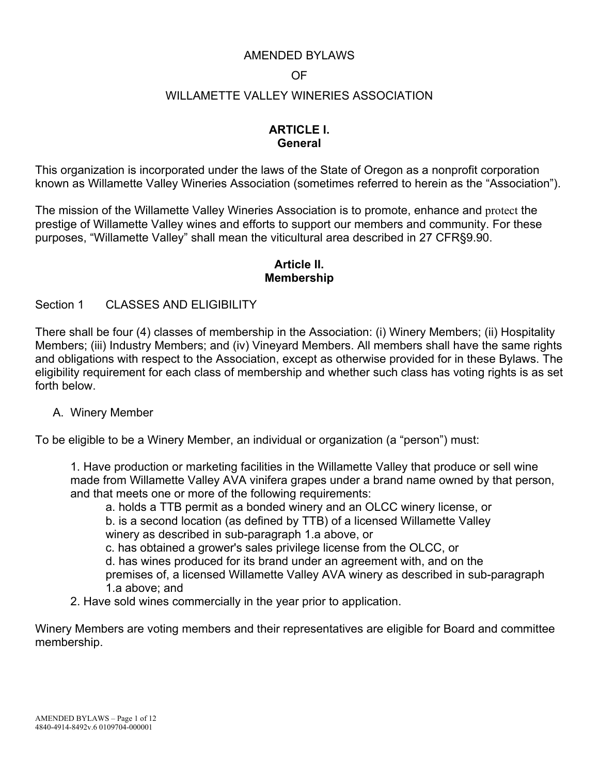### AMENDED BYLAWS

#### OF

#### WILLAMETTE VALLEY WINERIES ASSOCIATION

## **ARTICLE I. General**

This organization is incorporated under the laws of the State of Oregon as a nonprofit corporation known as Willamette Valley Wineries Association (sometimes referred to herein as the "Association").

The mission of the Willamette Valley Wineries Association is to promote, enhance and protect the prestige of Willamette Valley wines and efforts to support our members and community. For these purposes, "Willamette Valley" shall mean the viticultural area described in 27 CFR§9.90.

#### **Article II. Membership**

#### Section 1 CLASSES AND ELIGIBILITY

There shall be four (4) classes of membership in the Association: (i) Winery Members; (ii) Hospitality Members; (iii) Industry Members; and (iv) Vineyard Members. All members shall have the same rights and obligations with respect to the Association, except as otherwise provided for in these Bylaws. The eligibility requirement for each class of membership and whether such class has voting rights is as set forth below.

#### A. Winery Member

To be eligible to be a Winery Member, an individual or organization (a "person") must:

1. Have production or marketing facilities in the Willamette Valley that produce or sell wine made from Willamette Valley AVA vinifera grapes under a brand name owned by that person, and that meets one or more of the following requirements:

 a. holds a TTB permit as a bonded winery and an OLCC winery license, or b. is a second location (as defined by TTB) of a licensed Willamette Valley winery as described in sub-paragraph 1.a above, or

c. has obtained a grower's sales privilege license from the OLCC, or

 d. has wines produced for its brand under an agreement with, and on the premises of, a licensed Willamette Valley AVA winery as described in sub-paragraph

1.a above; and

2. Have sold wines commercially in the year prior to application.

Winery Members are voting members and their representatives are eligible for Board and committee membership.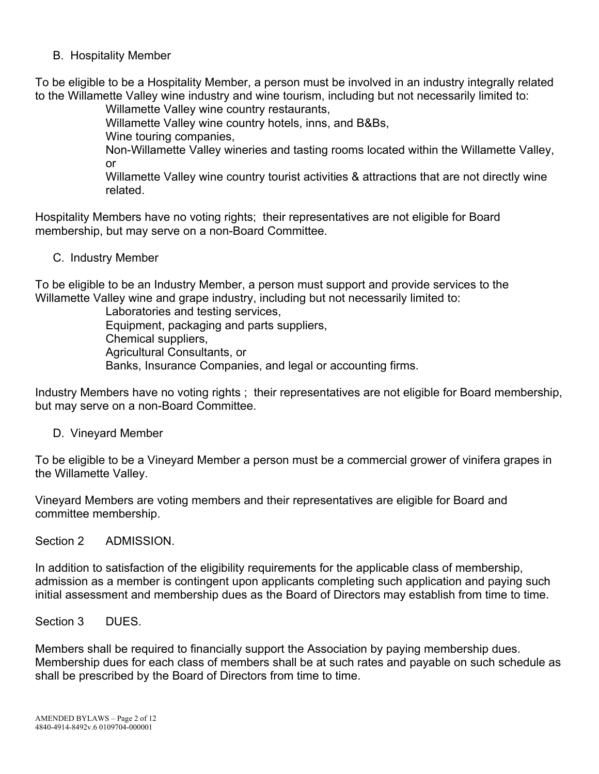B. Hospitality Member

To be eligible to be a Hospitality Member, a person must be involved in an industry integrally related to the Willamette Valley wine industry and wine tourism, including but not necessarily limited to:

Willamette Valley wine country restaurants,

Willamette Valley wine country hotels, inns, and B&Bs,

Wine touring companies,

Non-Willamette Valley wineries and tasting rooms located within the Willamette Valley, or

 Willamette Valley wine country tourist activities & attractions that are not directly wine related.

Hospitality Members have no voting rights; their representatives are not eligible for Board membership, but may serve on a non-Board Committee.

C. Industry Member

To be eligible to be an Industry Member, a person must support and provide services to the Willamette Valley wine and grape industry, including but not necessarily limited to:

 Laboratories and testing services, Equipment, packaging and parts suppliers, Chemical suppliers, Agricultural Consultants, or Banks, Insurance Companies, and legal or accounting firms.

Industry Members have no voting rights ; their representatives are not eligible for Board membership, but may serve on a non-Board Committee.

D. Vineyard Member

To be eligible to be a Vineyard Member a person must be a commercial grower of vinifera grapes in the Willamette Valley.

Vineyard Members are voting members and their representatives are eligible for Board and committee membership.

Section 2 ADMISSION.

In addition to satisfaction of the eligibility requirements for the applicable class of membership, admission as a member is contingent upon applicants completing such application and paying such initial assessment and membership dues as the Board of Directors may establish from time to time.

Section 3 DUES.

Members shall be required to financially support the Association by paying membership dues. Membership dues for each class of members shall be at such rates and payable on such schedule as shall be prescribed by the Board of Directors from time to time.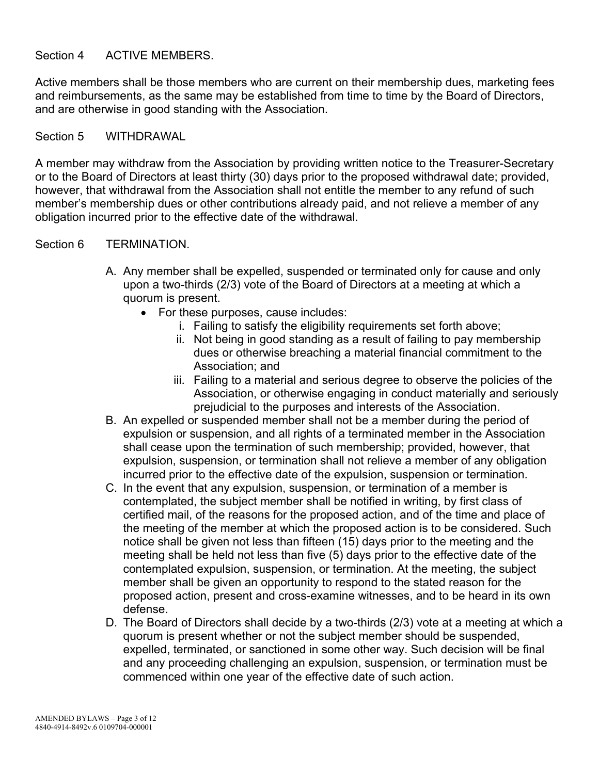#### Section 4 ACTIVE MEMBERS.

Active members shall be those members who are current on their membership dues, marketing fees and reimbursements, as the same may be established from time to time by the Board of Directors, and are otherwise in good standing with the Association.

#### Section 5 WITHDRAWAL

A member may withdraw from the Association by providing written notice to the Treasurer-Secretary or to the Board of Directors at least thirty (30) days prior to the proposed withdrawal date; provided, however, that withdrawal from the Association shall not entitle the member to any refund of such member's membership dues or other contributions already paid, and not relieve a member of any obligation incurred prior to the effective date of the withdrawal.

#### Section 6 TERMINATION.

- A. Any member shall be expelled, suspended or terminated only for cause and only upon a two-thirds (2/3) vote of the Board of Directors at a meeting at which a quorum is present.
	- For these purposes, cause includes:
		- i. Failing to satisfy the eligibility requirements set forth above;
		- ii. Not being in good standing as a result of failing to pay membership dues or otherwise breaching a material financial commitment to the Association; and
		- iii. Failing to a material and serious degree to observe the policies of the Association, or otherwise engaging in conduct materially and seriously prejudicial to the purposes and interests of the Association.
- B. An expelled or suspended member shall not be a member during the period of expulsion or suspension, and all rights of a terminated member in the Association shall cease upon the termination of such membership; provided, however, that expulsion, suspension, or termination shall not relieve a member of any obligation incurred prior to the effective date of the expulsion, suspension or termination.
- C. In the event that any expulsion, suspension, or termination of a member is contemplated, the subject member shall be notified in writing, by first class of certified mail, of the reasons for the proposed action, and of the time and place of the meeting of the member at which the proposed action is to be considered. Such notice shall be given not less than fifteen (15) days prior to the meeting and the meeting shall be held not less than five (5) days prior to the effective date of the contemplated expulsion, suspension, or termination. At the meeting, the subject member shall be given an opportunity to respond to the stated reason for the proposed action, present and cross-examine witnesses, and to be heard in its own defense.
- D. The Board of Directors shall decide by a two-thirds (2/3) vote at a meeting at which a quorum is present whether or not the subject member should be suspended, expelled, terminated, or sanctioned in some other way. Such decision will be final and any proceeding challenging an expulsion, suspension, or termination must be commenced within one year of the effective date of such action.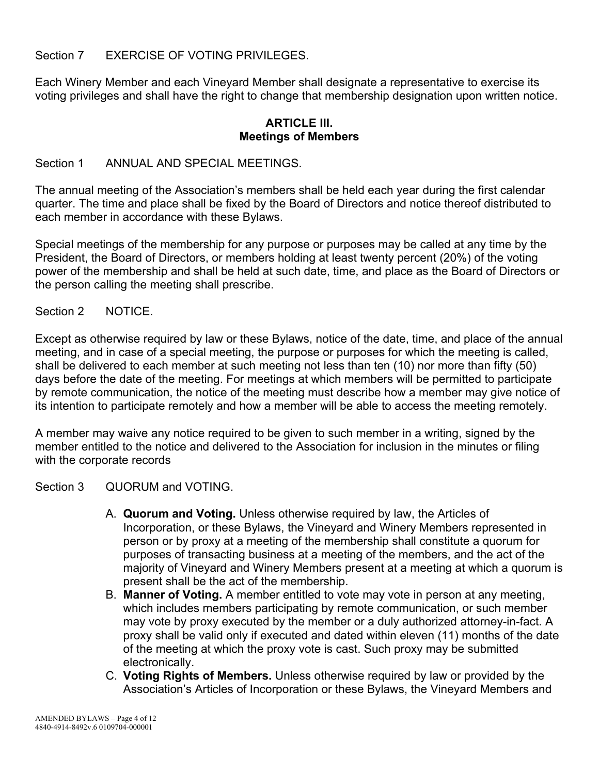Section 7 EXERCISE OF VOTING PRIVILEGES.

Each Winery Member and each Vineyard Member shall designate a representative to exercise its voting privileges and shall have the right to change that membership designation upon written notice.

### **ARTICLE III. Meetings of Members**

### Section 1 ANNUAL AND SPECIAL MEETINGS

The annual meeting of the Association's members shall be held each year during the first calendar quarter. The time and place shall be fixed by the Board of Directors and notice thereof distributed to each member in accordance with these Bylaws.

Special meetings of the membership for any purpose or purposes may be called at any time by the President, the Board of Directors, or members holding at least twenty percent (20%) of the voting power of the membership and shall be held at such date, time, and place as the Board of Directors or the person calling the meeting shall prescribe.

### Section 2 NOTICE.

Except as otherwise required by law or these Bylaws, notice of the date, time, and place of the annual meeting, and in case of a special meeting, the purpose or purposes for which the meeting is called, shall be delivered to each member at such meeting not less than ten (10) nor more than fifty (50) days before the date of the meeting. For meetings at which members will be permitted to participate by remote communication, the notice of the meeting must describe how a member may give notice of its intention to participate remotely and how a member will be able to access the meeting remotely.

A member may waive any notice required to be given to such member in a writing, signed by the member entitled to the notice and delivered to the Association for inclusion in the minutes or filing with the corporate records

Section 3 QUORUM and VOTING.

- A. **Quorum and Voting.** Unless otherwise required by law, the Articles of Incorporation, or these Bylaws, the Vineyard and Winery Members represented in person or by proxy at a meeting of the membership shall constitute a quorum for purposes of transacting business at a meeting of the members, and the act of the majority of Vineyard and Winery Members present at a meeting at which a quorum is present shall be the act of the membership.
- B. **Manner of Voting.** A member entitled to vote may vote in person at any meeting, which includes members participating by remote communication, or such member may vote by proxy executed by the member or a duly authorized attorney-in-fact. A proxy shall be valid only if executed and dated within eleven (11) months of the date of the meeting at which the proxy vote is cast. Such proxy may be submitted electronically.
- C. **Voting Rights of Members.** Unless otherwise required by law or provided by the Association's Articles of Incorporation or these Bylaws, the Vineyard Members and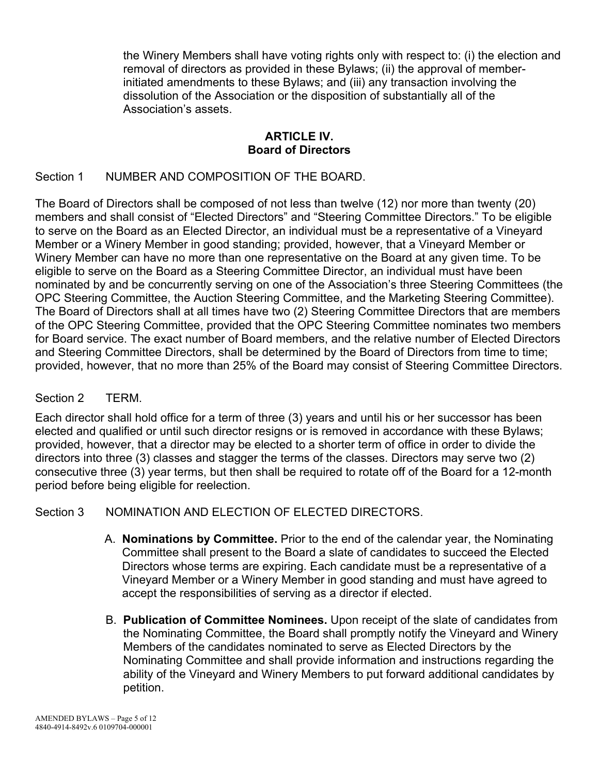the Winery Members shall have voting rights only with respect to: (i) the election and removal of directors as provided in these Bylaws; (ii) the approval of memberinitiated amendments to these Bylaws; and (iii) any transaction involving the dissolution of the Association or the disposition of substantially all of the Association's assets.

### **ARTICLE IV. Board of Directors**

## Section 1 NUMBER AND COMPOSITION OF THE BOARD.

The Board of Directors shall be composed of not less than twelve (12) nor more than twenty (20) members and shall consist of "Elected Directors" and "Steering Committee Directors." To be eligible to serve on the Board as an Elected Director, an individual must be a representative of a Vineyard Member or a Winery Member in good standing; provided, however, that a Vineyard Member or Winery Member can have no more than one representative on the Board at any given time. To be eligible to serve on the Board as a Steering Committee Director, an individual must have been nominated by and be concurrently serving on one of the Association's three Steering Committees (the OPC Steering Committee, the Auction Steering Committee, and the Marketing Steering Committee). The Board of Directors shall at all times have two (2) Steering Committee Directors that are members of the OPC Steering Committee, provided that the OPC Steering Committee nominates two members for Board service. The exact number of Board members, and the relative number of Elected Directors and Steering Committee Directors, shall be determined by the Board of Directors from time to time; provided, however, that no more than 25% of the Board may consist of Steering Committee Directors.

### Section 2 TERM.

Each director shall hold office for a term of three (3) years and until his or her successor has been elected and qualified or until such director resigns or is removed in accordance with these Bylaws; provided, however, that a director may be elected to a shorter term of office in order to divide the directors into three (3) classes and stagger the terms of the classes. Directors may serve two (2) consecutive three (3) year terms, but then shall be required to rotate off of the Board for a 12-month period before being eligible for reelection.

### Section 3 NOMINATION AND ELECTION OF ELECTED DIRECTORS.

- A. **Nominations by Committee.** Prior to the end of the calendar year, the Nominating Committee shall present to the Board a slate of candidates to succeed the Elected Directors whose terms are expiring. Each candidate must be a representative of a Vineyard Member or a Winery Member in good standing and must have agreed to accept the responsibilities of serving as a director if elected.
- B. **Publication of Committee Nominees.** Upon receipt of the slate of candidates from the Nominating Committee, the Board shall promptly notify the Vineyard and Winery Members of the candidates nominated to serve as Elected Directors by the Nominating Committee and shall provide information and instructions regarding the ability of the Vineyard and Winery Members to put forward additional candidates by petition.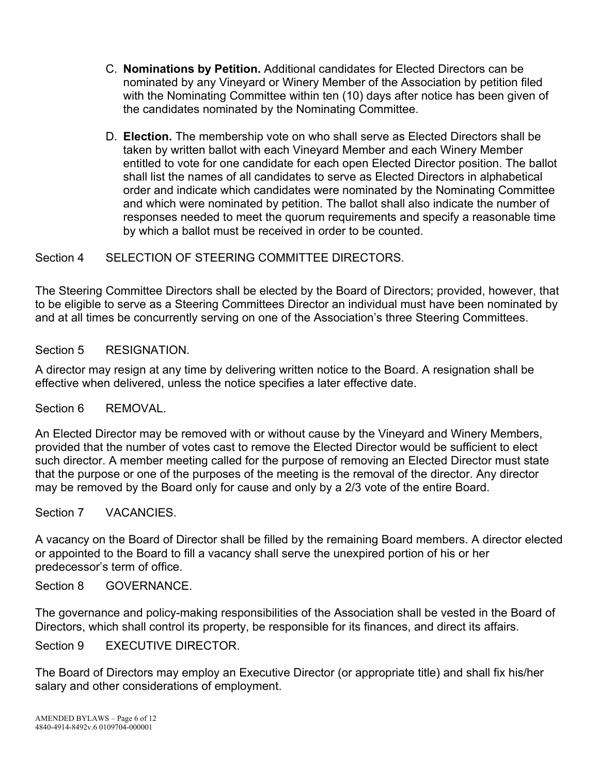- C. **Nominations by Petition.** Additional candidates for Elected Directors can be nominated by any Vineyard or Winery Member of the Association by petition filed with the Nominating Committee within ten (10) days after notice has been given of the candidates nominated by the Nominating Committee.
- D. **Election.** The membership vote on who shall serve as Elected Directors shall be taken by written ballot with each Vineyard Member and each Winery Member entitled to vote for one candidate for each open Elected Director position. The ballot shall list the names of all candidates to serve as Elected Directors in alphabetical order and indicate which candidates were nominated by the Nominating Committee and which were nominated by petition. The ballot shall also indicate the number of responses needed to meet the quorum requirements and specify a reasonable time by which a ballot must be received in order to be counted.

Section 4 SELECTION OF STEERING COMMITTEE DIRECTORS.

The Steering Committee Directors shall be elected by the Board of Directors; provided, however, that to be eligible to serve as a Steering Committees Director an individual must have been nominated by and at all times be concurrently serving on one of the Association's three Steering Committees.

Section 5 RESIGNATION.

A director may resign at any time by delivering written notice to the Board. A resignation shall be effective when delivered, unless the notice specifies a later effective date.

Section 6 REMOVAL.

An Elected Director may be removed with or without cause by the Vineyard and Winery Members, provided that the number of votes cast to remove the Elected Director would be sufficient to elect such director. A member meeting called for the purpose of removing an Elected Director must state that the purpose or one of the purposes of the meeting is the removal of the director. Any director may be removed by the Board only for cause and only by a 2/3 vote of the entire Board.

Section 7 VACANCIES.

A vacancy on the Board of Director shall be filled by the remaining Board members. A director elected or appointed to the Board to fill a vacancy shall serve the unexpired portion of his or her predecessor's term of office.

Section 8 GOVERNANCE.

The governance and policy-making responsibilities of the Association shall be vested in the Board of Directors, which shall control its property, be responsible for its finances, and direct its affairs.

Section 9 EXECUTIVE DIRECTOR.

The Board of Directors may employ an Executive Director (or appropriate title) and shall fix his/her salary and other considerations of employment.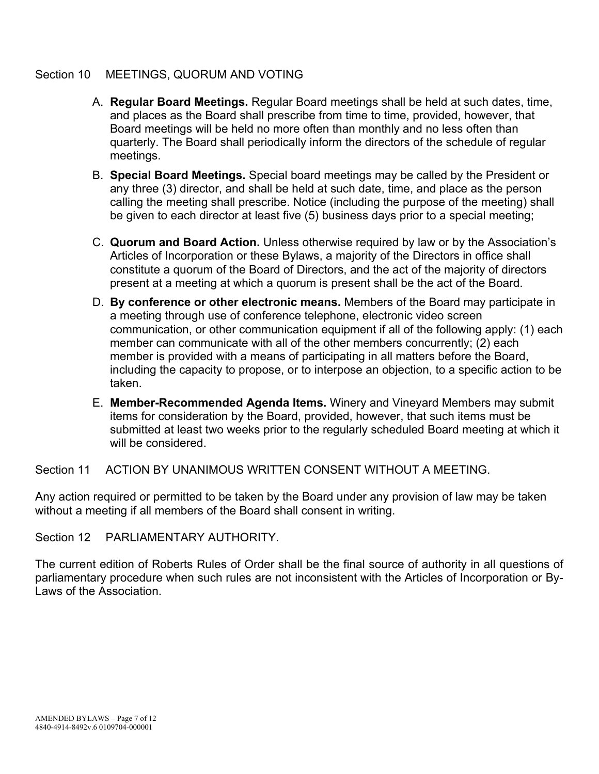### Section 10 MEETINGS, QUORUM AND VOTING

- A. **Regular Board Meetings.** Regular Board meetings shall be held at such dates, time, and places as the Board shall prescribe from time to time, provided, however, that Board meetings will be held no more often than monthly and no less often than quarterly. The Board shall periodically inform the directors of the schedule of regular meetings.
- B. **Special Board Meetings.** Special board meetings may be called by the President or any three (3) director, and shall be held at such date, time, and place as the person calling the meeting shall prescribe. Notice (including the purpose of the meeting) shall be given to each director at least five (5) business days prior to a special meeting;
- C. **Quorum and Board Action.** Unless otherwise required by law or by the Association's Articles of Incorporation or these Bylaws, a majority of the Directors in office shall constitute a quorum of the Board of Directors, and the act of the majority of directors present at a meeting at which a quorum is present shall be the act of the Board.
- D. **By conference or other electronic means.** Members of the Board may participate in a meeting through use of conference telephone, electronic video screen communication, or other communication equipment if all of the following apply: (1) each member can communicate with all of the other members concurrently; (2) each member is provided with a means of participating in all matters before the Board, including the capacity to propose, or to interpose an objection, to a specific action to be taken.
- E. **Member-Recommended Agenda Items.** Winery and Vineyard Members may submit items for consideration by the Board, provided, however, that such items must be submitted at least two weeks prior to the regularly scheduled Board meeting at which it will be considered.

Section 11 ACTION BY UNANIMOUS WRITTEN CONSENT WITHOUT A MEETING.

Any action required or permitted to be taken by the Board under any provision of law may be taken without a meeting if all members of the Board shall consent in writing.

Section 12 PARLIAMENTARY AUTHORITY.

The current edition of Roberts Rules of Order shall be the final source of authority in all questions of parliamentary procedure when such rules are not inconsistent with the Articles of Incorporation or By-Laws of the Association.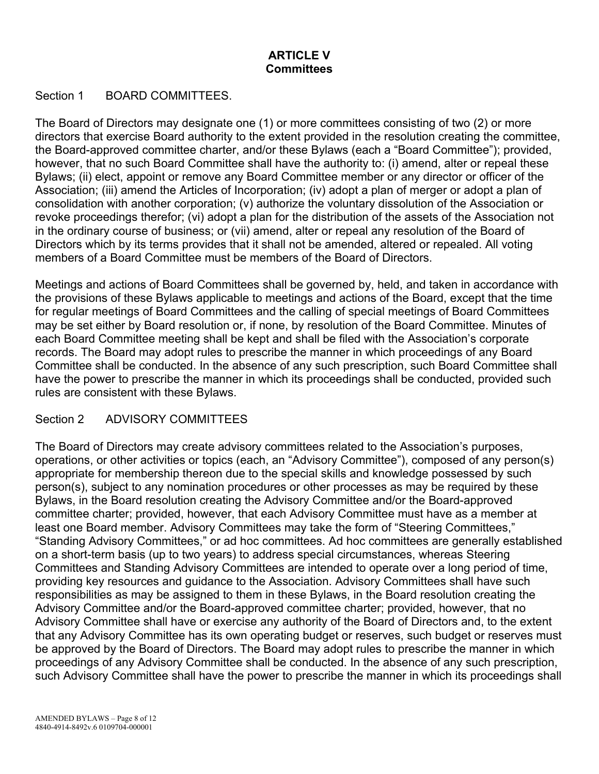## **ARTICLE V Committees**

### Section 1 BOARD COMMITTEES

The Board of Directors may designate one (1) or more committees consisting of two (2) or more directors that exercise Board authority to the extent provided in the resolution creating the committee, the Board-approved committee charter, and/or these Bylaws (each a "Board Committee"); provided, however, that no such Board Committee shall have the authority to: (i) amend, alter or repeal these Bylaws; (ii) elect, appoint or remove any Board Committee member or any director or officer of the Association; (iii) amend the Articles of Incorporation; (iv) adopt a plan of merger or adopt a plan of consolidation with another corporation; (v) authorize the voluntary dissolution of the Association or revoke proceedings therefor; (vi) adopt a plan for the distribution of the assets of the Association not in the ordinary course of business; or (vii) amend, alter or repeal any resolution of the Board of Directors which by its terms provides that it shall not be amended, altered or repealed. All voting members of a Board Committee must be members of the Board of Directors.

Meetings and actions of Board Committees shall be governed by, held, and taken in accordance with the provisions of these Bylaws applicable to meetings and actions of the Board, except that the time for regular meetings of Board Committees and the calling of special meetings of Board Committees may be set either by Board resolution or, if none, by resolution of the Board Committee. Minutes of each Board Committee meeting shall be kept and shall be filed with the Association's corporate records. The Board may adopt rules to prescribe the manner in which proceedings of any Board Committee shall be conducted. In the absence of any such prescription, such Board Committee shall have the power to prescribe the manner in which its proceedings shall be conducted, provided such rules are consistent with these Bylaws.

### Section 2 ADVISORY COMMITTEES

The Board of Directors may create advisory committees related to the Association's purposes, operations, or other activities or topics (each, an "Advisory Committee"), composed of any person(s) appropriate for membership thereon due to the special skills and knowledge possessed by such person(s), subject to any nomination procedures or other processes as may be required by these Bylaws, in the Board resolution creating the Advisory Committee and/or the Board-approved committee charter; provided, however, that each Advisory Committee must have as a member at least one Board member. Advisory Committees may take the form of "Steering Committees," "Standing Advisory Committees," or ad hoc committees. Ad hoc committees are generally established on a short-term basis (up to two years) to address special circumstances, whereas Steering Committees and Standing Advisory Committees are intended to operate over a long period of time, providing key resources and guidance to the Association. Advisory Committees shall have such responsibilities as may be assigned to them in these Bylaws, in the Board resolution creating the Advisory Committee and/or the Board-approved committee charter; provided, however, that no Advisory Committee shall have or exercise any authority of the Board of Directors and, to the extent that any Advisory Committee has its own operating budget or reserves, such budget or reserves must be approved by the Board of Directors. The Board may adopt rules to prescribe the manner in which proceedings of any Advisory Committee shall be conducted. In the absence of any such prescription, such Advisory Committee shall have the power to prescribe the manner in which its proceedings shall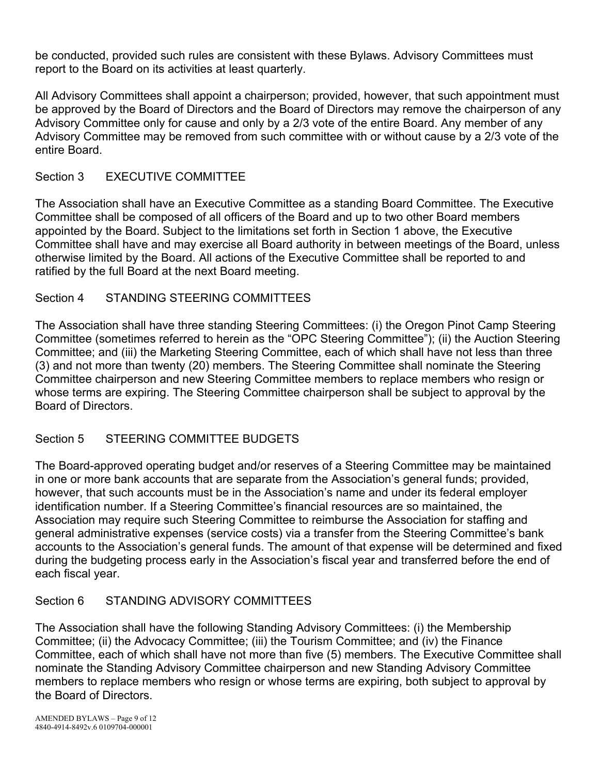be conducted, provided such rules are consistent with these Bylaws. Advisory Committees must report to the Board on its activities at least quarterly.

All Advisory Committees shall appoint a chairperson; provided, however, that such appointment must be approved by the Board of Directors and the Board of Directors may remove the chairperson of any Advisory Committee only for cause and only by a 2/3 vote of the entire Board. Any member of any Advisory Committee may be removed from such committee with or without cause by a 2/3 vote of the entire Board.

# Section 3 EXECUTIVE COMMITTEE

The Association shall have an Executive Committee as a standing Board Committee. The Executive Committee shall be composed of all officers of the Board and up to two other Board members appointed by the Board. Subject to the limitations set forth in Section 1 above, the Executive Committee shall have and may exercise all Board authority in between meetings of the Board, unless otherwise limited by the Board. All actions of the Executive Committee shall be reported to and ratified by the full Board at the next Board meeting.

## Section 4 STANDING STEERING COMMITTEES

The Association shall have three standing Steering Committees: (i) the Oregon Pinot Camp Steering Committee (sometimes referred to herein as the "OPC Steering Committee"); (ii) the Auction Steering Committee; and (iii) the Marketing Steering Committee, each of which shall have not less than three (3) and not more than twenty (20) members. The Steering Committee shall nominate the Steering Committee chairperson and new Steering Committee members to replace members who resign or whose terms are expiring. The Steering Committee chairperson shall be subject to approval by the Board of Directors.

## Section 5 STEERING COMMITTEE BUDGETS

The Board-approved operating budget and/or reserves of a Steering Committee may be maintained in one or more bank accounts that are separate from the Association's general funds; provided, however, that such accounts must be in the Association's name and under its federal employer identification number. If a Steering Committee's financial resources are so maintained, the Association may require such Steering Committee to reimburse the Association for staffing and general administrative expenses (service costs) via a transfer from the Steering Committee's bank accounts to the Association's general funds. The amount of that expense will be determined and fixed during the budgeting process early in the Association's fiscal year and transferred before the end of each fiscal year.

## Section 6 STANDING ADVISORY COMMITTEES

The Association shall have the following Standing Advisory Committees: (i) the Membership Committee; (ii) the Advocacy Committee; (iii) the Tourism Committee; and (iv) the Finance Committee, each of which shall have not more than five (5) members. The Executive Committee shall nominate the Standing Advisory Committee chairperson and new Standing Advisory Committee members to replace members who resign or whose terms are expiring, both subject to approval by the Board of Directors.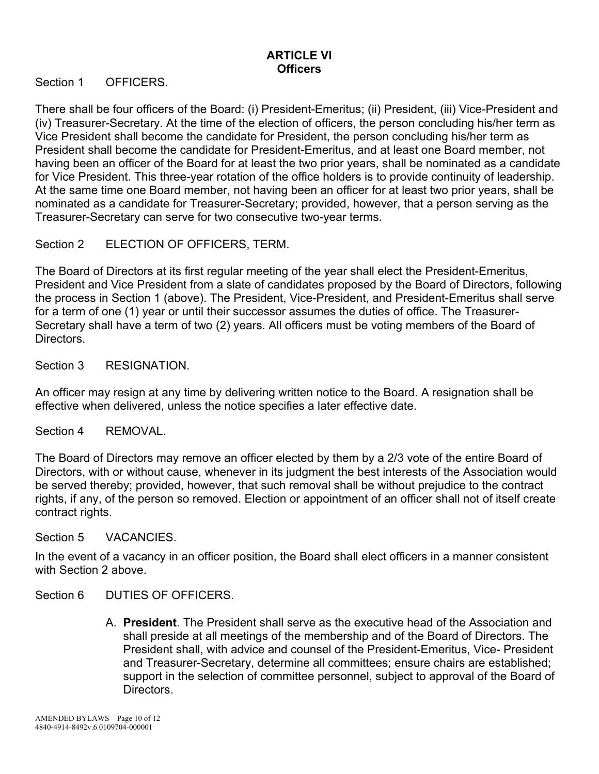## **ARTICLE VI Officers**

Section 1 OFFICERS.

There shall be four officers of the Board: (i) President-Emeritus; (ii) President, (iii) Vice-President and (iv) Treasurer-Secretary. At the time of the election of officers, the person concluding his/her term as Vice President shall become the candidate for President, the person concluding his/her term as President shall become the candidate for President-Emeritus, and at least one Board member, not having been an officer of the Board for at least the two prior years, shall be nominated as a candidate for Vice President. This three-year rotation of the office holders is to provide continuity of leadership. At the same time one Board member, not having been an officer for at least two prior years, shall be nominated as a candidate for Treasurer-Secretary; provided, however, that a person serving as the Treasurer-Secretary can serve for two consecutive two-year terms.

Section 2 ELECTION OF OFFICERS, TERM.

The Board of Directors at its first regular meeting of the year shall elect the President-Emeritus, President and Vice President from a slate of candidates proposed by the Board of Directors, following the process in Section 1 (above). The President, Vice-President, and President-Emeritus shall serve for a term of one (1) year or until their successor assumes the duties of office. The Treasurer-Secretary shall have a term of two (2) years. All officers must be voting members of the Board of Directors.

Section 3 RESIGNATION.

An officer may resign at any time by delivering written notice to the Board. A resignation shall be effective when delivered, unless the notice specifies a later effective date.

#### Section 4 REMOVAL.

The Board of Directors may remove an officer elected by them by a 2/3 vote of the entire Board of Directors, with or without cause, whenever in its judgment the best interests of the Association would be served thereby; provided, however, that such removal shall be without prejudice to the contract rights, if any, of the person so removed. Election or appointment of an officer shall not of itself create contract rights.

#### Section 5 VACANCIES.

In the event of a vacancy in an officer position, the Board shall elect officers in a manner consistent with Section 2 above.

Section 6 DUTIES OF OFFICERS.

A. **President**. The President shall serve as the executive head of the Association and shall preside at all meetings of the membership and of the Board of Directors. The President shall, with advice and counsel of the President-Emeritus, Vice- President and Treasurer-Secretary, determine all committees; ensure chairs are established; support in the selection of committee personnel, subject to approval of the Board of Directors.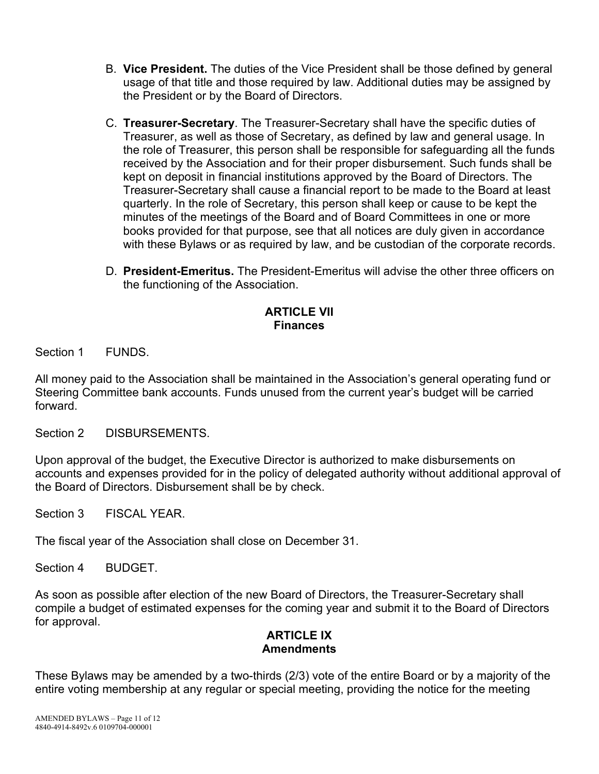- B. **Vice President.** The duties of the Vice President shall be those defined by general usage of that title and those required by law. Additional duties may be assigned by the President or by the Board of Directors.
- C. **Treasurer-Secretary**. The Treasurer-Secretary shall have the specific duties of Treasurer, as well as those of Secretary, as defined by law and general usage. In the role of Treasurer, this person shall be responsible for safeguarding all the funds received by the Association and for their proper disbursement. Such funds shall be kept on deposit in financial institutions approved by the Board of Directors. The Treasurer-Secretary shall cause a financial report to be made to the Board at least quarterly. In the role of Secretary, this person shall keep or cause to be kept the minutes of the meetings of the Board and of Board Committees in one or more books provided for that purpose, see that all notices are duly given in accordance with these Bylaws or as required by law, and be custodian of the corporate records.
- D. **President-Emeritus.** The President-Emeritus will advise the other three officers on the functioning of the Association.

## **ARTICLE VII Finances**

Section 1 FUNDS.

All money paid to the Association shall be maintained in the Association's general operating fund or Steering Committee bank accounts. Funds unused from the current year's budget will be carried forward.

Section 2 DISBURSEMENTS

Upon approval of the budget, the Executive Director is authorized to make disbursements on accounts and expenses provided for in the policy of delegated authority without additional approval of the Board of Directors. Disbursement shall be by check.

Section 3 FISCAL YEAR.

The fiscal year of the Association shall close on December 31.

Section 4 BUDGET

As soon as possible after election of the new Board of Directors, the Treasurer-Secretary shall compile a budget of estimated expenses for the coming year and submit it to the Board of Directors for approval.

## **ARTICLE IX Amendments**

These Bylaws may be amended by a two-thirds (2/3) vote of the entire Board or by a majority of the entire voting membership at any regular or special meeting, providing the notice for the meeting